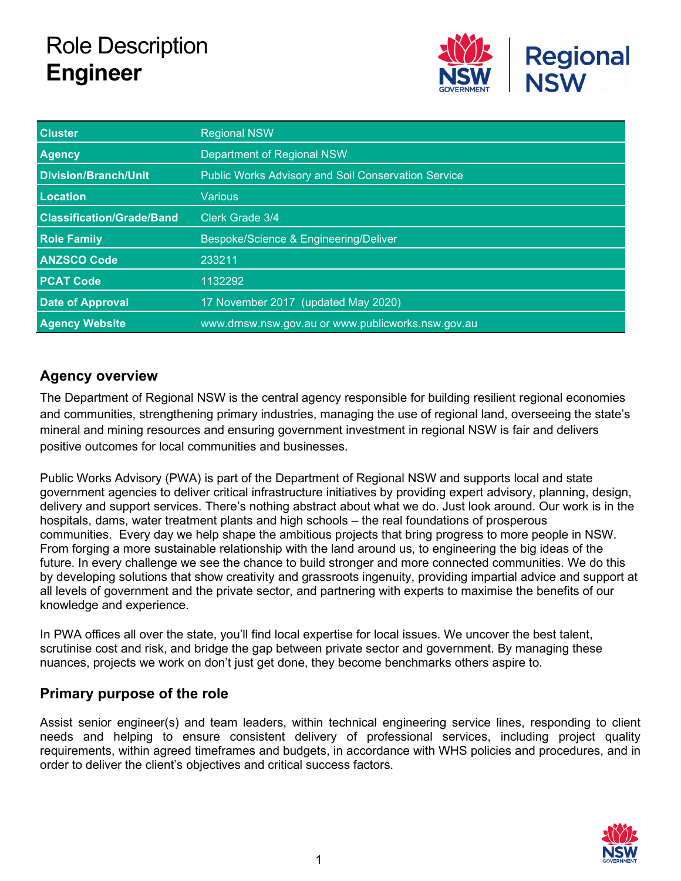# Role Description **Engineer**



| <b>Cluster</b>                   | <b>Regional NSW</b>                                        |  |
|----------------------------------|------------------------------------------------------------|--|
| <b>Agency</b>                    | Department of Regional NSW                                 |  |
| Division/Branch/Unit             | <b>Public Works Advisory and Soil Conservation Service</b> |  |
| Location                         | Various.                                                   |  |
| <b>Classification/Grade/Band</b> | Clerk Grade 3/4                                            |  |
| <b>Role Family</b>               | Bespoke/Science & Engineering/Deliver                      |  |
| <b>ANZSCO Code</b>               | 233211                                                     |  |
| <b>PCAT Code</b>                 | 1132292                                                    |  |
| <b>Date of Approval</b>          | 17 November 2017 (updated May 2020)                        |  |
| <b>Agency Website</b>            | www.drnsw.nsw.gov.au or www.publicworks.nsw.gov.au         |  |

# **Agency overview**

The Department of Regional NSW is the central agency responsible for building resilient regional economies and communities, strengthening primary industries, managing the use of regional land, overseeing the state's mineral and mining resources and ensuring government investment in regional NSW is fair and delivers positive outcomes for local communities and businesses.

Public Works Advisory (PWA) is part of the Department of Regional NSW and supports local and state government agencies to deliver critical infrastructure initiatives by providing expert advisory, planning, design, delivery and support services. There's nothing abstract about what we do. Just look around. Our work is in the hospitals, dams, water treatment plants and high schools – the real foundations of prosperous communities. Every day we help shape the ambitious projects that bring progress to more people in NSW. From forging a more sustainable relationship with the land around us, to engineering the big ideas of the future. In every challenge we see the chance to build stronger and more connected communities. We do this by developing solutions that show creativity and grassroots ingenuity, providing impartial advice and support at all levels of government and the private sector, and partnering with experts to maximise the benefits of our knowledge and experience.

In PWA offices all over the state, you'll find local expertise for local issues. We uncover the best talent, scrutinise cost and risk, and bridge the gap between private sector and government. By managing these nuances, projects we work on don't just get done, they become benchmarks others aspire to.

# **Primary purpose of the role**

Assist senior engineer(s) and team leaders, within technical engineering service lines, responding to client needs and helping to ensure consistent delivery of professional services, including project quality requirements, within agreed timeframes and budgets, in accordance with WHS policies and procedures, and in order to deliver the client's objectives and critical success factors.

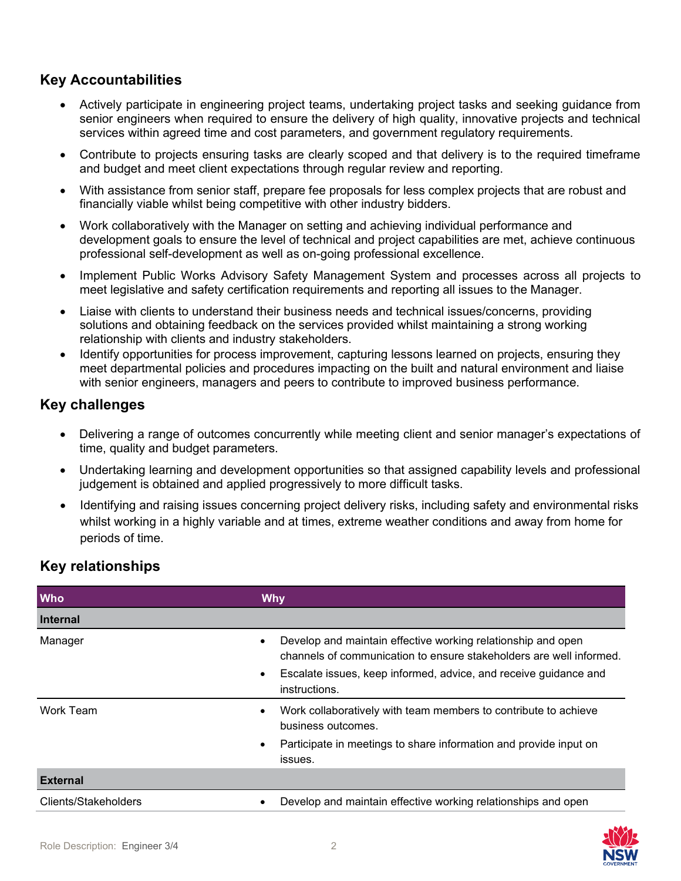# **Key Accountabilities**

- Actively participate in engineering project teams, undertaking project tasks and seeking guidance from senior engineers when required to ensure the delivery of high quality, innovative projects and technical services within agreed time and cost parameters, and government regulatory requirements.
- Contribute to projects ensuring tasks are clearly scoped and that delivery is to the required timeframe and budget and meet client expectations through regular review and reporting.
- With assistance from senior staff, prepare fee proposals for less complex projects that are robust and financially viable whilst being competitive with other industry bidders.
- Work collaboratively with the Manager on setting and achieving individual performance and development goals to ensure the level of technical and project capabilities are met, achieve continuous professional self-development as well as on-going professional excellence.
- Implement Public Works Advisory Safety Management System and processes across all projects to meet legislative and safety certification requirements and reporting all issues to the Manager.
- Liaise with clients to understand their business needs and technical issues/concerns, providing solutions and obtaining feedback on the services provided whilst maintaining a strong working relationship with clients and industry stakeholders.
- Identify opportunities for process improvement, capturing lessons learned on projects, ensuring they meet departmental policies and procedures impacting on the built and natural environment and liaise with senior engineers, managers and peers to contribute to improved business performance.

## **Key challenges**

- Delivering a range of outcomes concurrently while meeting client and senior manager's expectations of time, quality and budget parameters.
- Undertaking learning and development opportunities so that assigned capability levels and professional judgement is obtained and applied progressively to more difficult tasks.
- Identifying and raising issues concerning project delivery risks, including safety and environmental risks whilst working in a highly variable and at times, extreme weather conditions and away from home for periods of time.

# **Key relationships**

| <b>Who</b>           | <b>Why</b>                                                                                                                                                                                                                                         |
|----------------------|----------------------------------------------------------------------------------------------------------------------------------------------------------------------------------------------------------------------------------------------------|
| <b>Internal</b>      |                                                                                                                                                                                                                                                    |
| Manager              | Develop and maintain effective working relationship and open<br>$\bullet$<br>channels of communication to ensure stakeholders are well informed.<br>Escalate issues, keep informed, advice, and receive guidance and<br>$\bullet$<br>instructions. |
| Work Team            | Work collaboratively with team members to contribute to achieve<br>business outcomes.<br>Participate in meetings to share information and provide input on<br>$\bullet$<br>issues.                                                                 |
| <b>External</b>      |                                                                                                                                                                                                                                                    |
| Clients/Stakeholders | Develop and maintain effective working relationships and open<br>$\bullet$                                                                                                                                                                         |

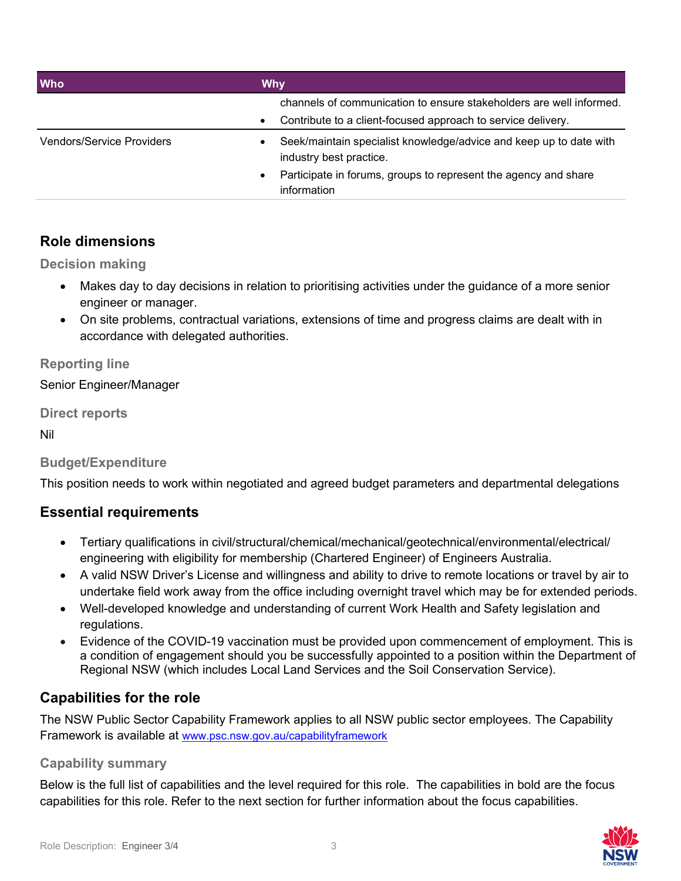| <b>Who</b>                       | Why                                                                                           |  |
|----------------------------------|-----------------------------------------------------------------------------------------------|--|
|                                  | channels of communication to ensure stakeholders are well informed.                           |  |
|                                  | Contribute to a client-focused approach to service delivery.<br>$\bullet$                     |  |
| <b>Vendors/Service Providers</b> | Seek/maintain specialist knowledge/advice and keep up to date with<br>industry best practice. |  |
|                                  | Participate in forums, groups to represent the agency and share<br>information                |  |

## **Role dimensions**

**Decision making**

- Makes day to day decisions in relation to prioritising activities under the guidance of a more senior engineer or manager.
- On site problems, contractual variations, extensions of time and progress claims are dealt with in accordance with delegated authorities.

**Reporting line**

Senior Engineer/Manager

**Direct reports**

Nil

#### **Budget/Expenditure**

This position needs to work within negotiated and agreed budget parameters and departmental delegations

#### **Essential requirements**

- Tertiary qualifications in civil/structural/chemical/mechanical/geotechnical/environmental/electrical/ engineering with eligibility for membership (Chartered Engineer) of Engineers Australia.
- A valid NSW Driver's License and willingness and ability to drive to remote locations or travel by air to undertake field work away from the office including overnight travel which may be for extended periods.
- Well-developed knowledge and understanding of current Work Health and Safety legislation and regulations.
- Evidence of the COVID-19 vaccination must be provided upon commencement of employment. This is a condition of engagement should you be successfully appointed to a position within the Department of Regional NSW (which includes Local Land Services and the Soil Conservation Service).

# **Capabilities for the role**

The NSW Public Sector Capability Framework applies to all NSW public sector employees. The Capability Framework is available at [www.psc.nsw.gov.au/capabilityframework](http://www.psc.nsw.gov.au/capabilityframework)

#### **Capability summary**

Below is the full list of capabilities and the level required for this role. The capabilities in bold are the focus capabilities for this role. Refer to the next section for further information about the focus capabilities.

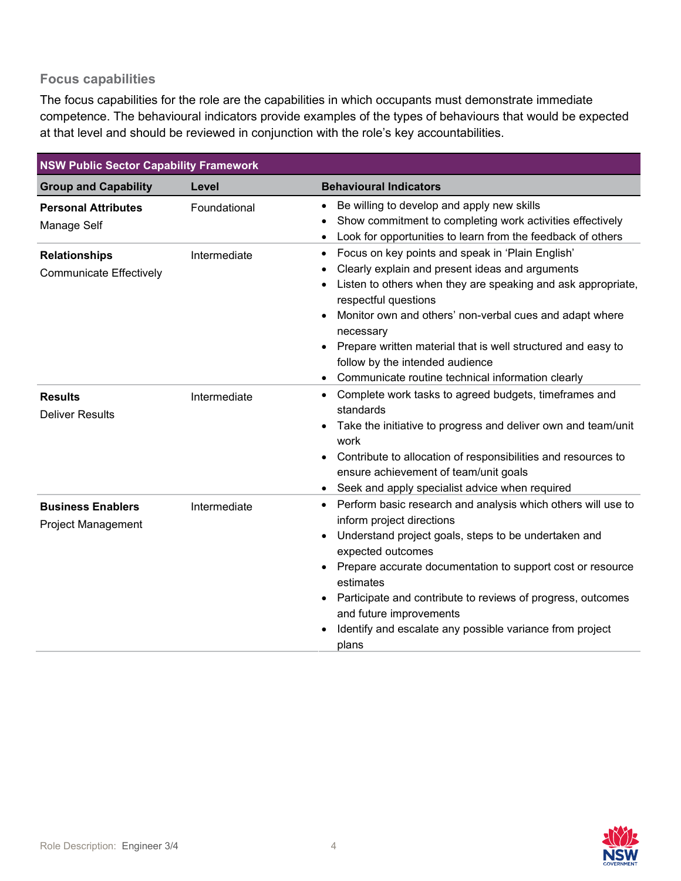#### **Focus capabilities**

The focus capabilities for the role are the capabilities in which occupants must demonstrate immediate competence. The behavioural indicators provide examples of the types of behaviours that would be expected at that level and should be reviewed in conjunction with the role's key accountabilities.

| <b>NSW Public Sector Capability Framework</b>          |              |                                                                                                                                                                                                                                                                                                                                                                                                                                  |  |  |  |
|--------------------------------------------------------|--------------|----------------------------------------------------------------------------------------------------------------------------------------------------------------------------------------------------------------------------------------------------------------------------------------------------------------------------------------------------------------------------------------------------------------------------------|--|--|--|
| <b>Group and Capability</b>                            | Level        | <b>Behavioural Indicators</b>                                                                                                                                                                                                                                                                                                                                                                                                    |  |  |  |
| <b>Personal Attributes</b><br>Manage Self              | Foundational | Be willing to develop and apply new skills<br>Show commitment to completing work activities effectively<br>Look for opportunities to learn from the feedback of others                                                                                                                                                                                                                                                           |  |  |  |
| <b>Relationships</b><br><b>Communicate Effectively</b> | Intermediate | Focus on key points and speak in 'Plain English'<br>٠<br>Clearly explain and present ideas and arguments<br>Listen to others when they are speaking and ask appropriate,<br>respectful questions<br>Monitor own and others' non-verbal cues and adapt where<br>necessary<br>Prepare written material that is well structured and easy to<br>follow by the intended audience<br>Communicate routine technical information clearly |  |  |  |
| <b>Results</b><br><b>Deliver Results</b>               | Intermediate | Complete work tasks to agreed budgets, timeframes and<br>٠<br>standards<br>Take the initiative to progress and deliver own and team/unit<br>work<br>Contribute to allocation of responsibilities and resources to<br>$\bullet$<br>ensure achievement of team/unit goals<br>Seek and apply specialist advice when required                                                                                                        |  |  |  |
| <b>Business Enablers</b><br>Project Management         | Intermediate | Perform basic research and analysis which others will use to<br>inform project directions<br>Understand project goals, steps to be undertaken and<br>expected outcomes<br>Prepare accurate documentation to support cost or resource<br>estimates<br>Participate and contribute to reviews of progress, outcomes<br>and future improvements<br>Identify and escalate any possible variance from project<br>plans                 |  |  |  |